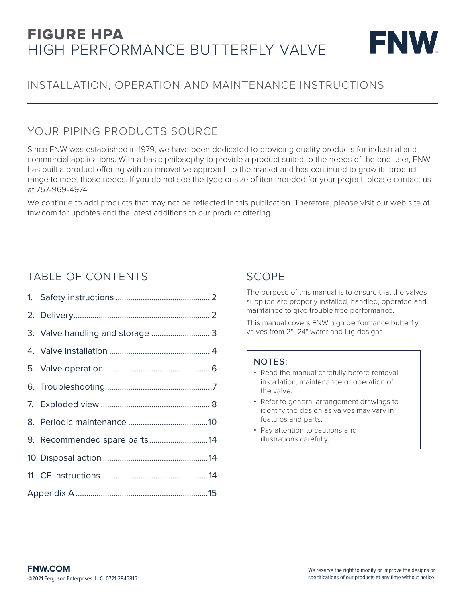

### INSTALLATION, OPERATION AND MAINTENANCE INSTRUCTIONS

### YOUR PIPING PRODUCTS SOURCE

Since FNW was established in 1979, we have been dedicated to providing quality products for industrial and commercial applications. With a basic philosophy to provide a product suited to the needs of the end user, FNW has built a product offering with an innovative approach to the market and has continued to grow its product range to meet those needs. If you do not see the type or size of item needed for your project, please contact us at 757-969-4974.

We continue to add products that may not be reflected in this publication. Therefore, please visit our web site at fnw.com for updates and the latest additions to our product offering.

### TABLE OF CONTENTS

|  | 9. Recommended spare parts14 |  |  |
|--|------------------------------|--|--|
|  |                              |  |  |
|  |                              |  |  |
|  |                              |  |  |

### SCOPE

The purpose of this manual is to ensure that the valves supplied are properly installed, handled, operated and maintained to give trouble free performance.

This manual covers FNW high performance butterfly valves from 2"–24" wafer and lug designs.

### NOTES:

- Read the manual carefully before removal, installation, maintenance or operation of the valve.
- Refer to general arrangement drawings to identify the design as valves may vary in features and parts.
- Pay attention to cautions and illustrations carefully.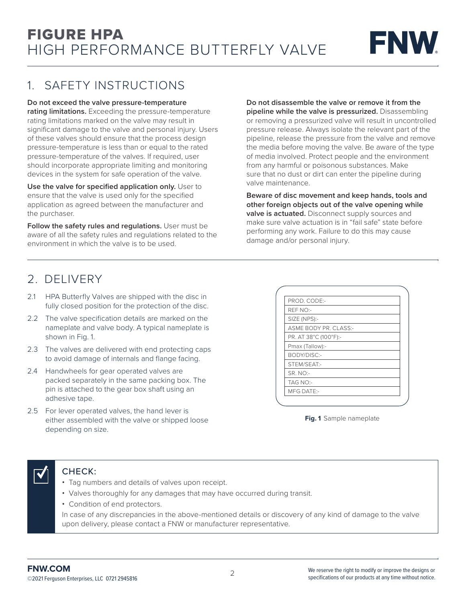

### 1. SAFETY INSTRUCTIONS

#### **Do not exceed the valve pressure-temperature**

**rating limitations.** Exceeding the pressure-temperature rating limitations marked on the valve may result in significant damage to the valve and personal injury. Users of these valves should ensure that the process design pressure-temperature is less than or equal to the rated pressure-temperature of the valves. If required, user should incorporate appropriate limiting and monitoring devices in the system for safe operation of the valve.

**Use the valve for specified application only.** User to ensure that the valve is used only for the specified application as agreed between the manufacturer and the purchaser.

Follow the safety rules and regulations. User must be aware of all the safety rules and regulations related to the environment in which the valve is to be used.

**Do not disassemble the valve or remove it from the pipeline while the valve is pressurized.** Disassembling or removing a pressurized valve will result in uncontrolled pressure release. Always isolate the relevant part of the pipeline, release the pressure from the valve and remove the media before moving the valve. Be aware of the type of media involved. Protect people and the environment from any harmful or poisonous substances. Make sure that no dust or dirt can enter the pipeline during valve maintenance.

**Beware of disc movement and keep hands, tools and other foreign objects out of the valve opening while valve is actuated.** Disconnect supply sources and make sure valve actuation is in "fail safe" state before performing any work. Failure to do this may cause damage and/or personal injury.

### 2. DELIVERY

- 2.1 HPA Butterfly Valves are shipped with the disc in fully closed position for the protection of the disc.
- 2.2 The valve specification details are marked on the nameplate and valve body. A typical nameplate is shown in Fig. 1.
- 2.3 The valves are delivered with end protecting caps to avoid damage of internals and flange facing.
- 2.4 Handwheels for gear operated valves are packed separately in the same packing box. The pin is attached to the gear box shaft using an adhesive tape.
- 2.5 For lever operated valves, the hand lever is either assembled with the valve or shipped loose depending on size.

| PROD. CODE:-          |  |
|-----------------------|--|
| REF NO:-              |  |
| SIZE (NPS):-          |  |
| ASME BODY PR. CLASS:- |  |
| PR. AT 38°C (100°F):- |  |
| Pmax (Tallow):-       |  |
| BODY/DISC:-           |  |
| STEM/SEAT:-           |  |
| SR. NO:-              |  |
| TAG NO:-              |  |
| <b>MFG DATE:-</b>     |  |

**Fig. 1** Sample nameplate

### CHECK:

- Tag numbers and details of valves upon receipt.
- Valves thoroughly for any damages that may have occurred during transit.
- Condition of end protectors.

In case of any discrepancies in the above-mentioned details or discovery of any kind of damage to the valve upon delivery, please contact a FNW or manufacturer representative.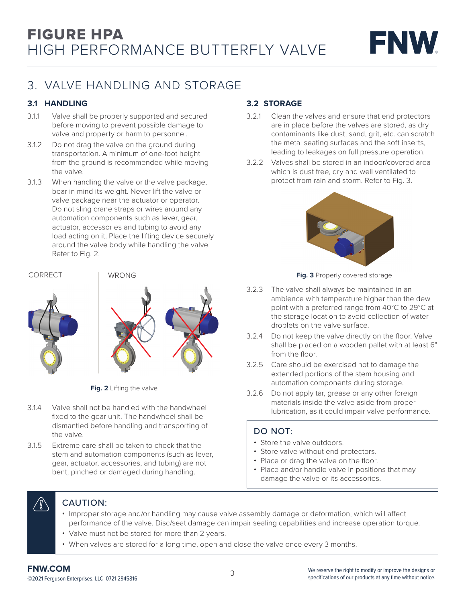

## 3. VALVE HANDLING AND STORAGE

### **3.1 HANDLING**

- 3.1.1 Valve shall be properly supported and secured before moving to prevent possible damage to valve and property or harm to personnel.
- 3.1.2 Do not drag the valve on the ground during transportation. A minimum of one-foot height from the ground is recommended while moving the valve.
- 3.1.3 When handling the valve or the valve package, bear in mind its weight. Never lift the valve or valve package near the actuator or operator. Do not sling crane straps or wires around any automation components such as lever, gear, actuator, accessories and tubing to avoid any load acting on it. Place the lifting device securely around the valve body while handling the valve. Refer to Fig. 2.

#### CORRECT WRONG



**Fig. 2** Lifting the valve

- 3.1.4 Valve shall not be handled with the handwheel fixed to the gear unit. The handwheel shall be dismantled before handling and transporting of the valve.
- 3.1.5 Extreme care shall be taken to check that the stem and automation components (such as lever, gear, actuator, accessories, and tubing) are not bent, pinched or damaged during handling.

### **3.2 STORAGE**

- 3.2.1 Clean the valves and ensure that end protectors are in place before the valves are stored, as dry contaminants like dust, sand, grit, etc. can scratch the metal seating surfaces and the soft inserts, leading to leakages on full pressure operation.
- 3.2.2 Valves shall be stored in an indoor/covered area which is dust free, dry and well ventilated to protect from rain and storm. Refer to Fig. 3.



**Fig. 3** Properly covered storage

- 3.2.3 The valve shall always be maintained in an ambience with temperature higher than the dew point with a preferred range from 40°C to 29°C at the storage location to avoid collection of water droplets on the valve surface.
- 3.2.4 Do not keep the valve directly on the floor. Valve shall be placed on a wooden pallet with at least 6" from the floor.
- 3.2.5 Care should be exercised not to damage the extended portions of the stem housing and automation components during storage.
- 3.2.6 Do not apply tar, grease or any other foreign materials inside the valve aside from proper lubrication, as it could impair valve performance.

### DO NOT:

- Store the valve outdoors.
- Store valve without end protectors.
- Place or drag the valve on the floor.
- Place and/or handle valve in positions that may damage the valve or its accessories.

#### CAUTION: y

- Improper storage and/or handling may cause valve assembly damage or deformation, which will affect performance of the valve. Disc/seat damage can impair sealing capabilities and increase operation torque.
- Valve must not be stored for more than 2 years.
- When valves are stored for a long time, open and close the valve once every 3 months.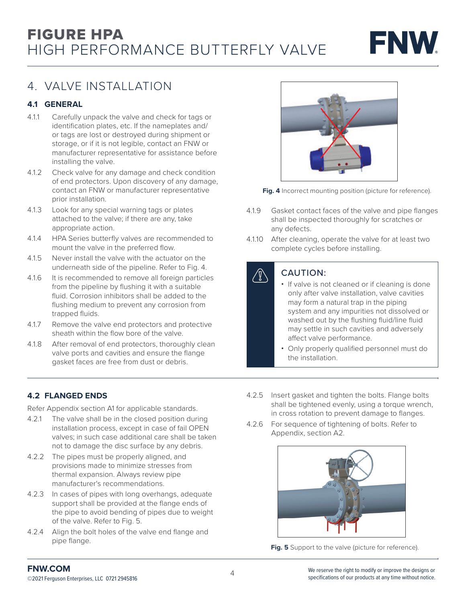

### 4. VALVE INSTALLATION

### **4.1 GENERAL**

- 4.1.1 Carefully unpack the valve and check for tags or identification plates, etc. If the nameplates and/ or tags are lost or destroyed during shipment or storage, or if it is not legible, contact an FNW or manufacturer representative for assistance before installing the valve.
- 4.1.2 Check valve for any damage and check condition of end protectors. Upon discovery of any damage, contact an FNW or manufacturer representative prior installation.
- 4.1.3 Look for any special warning tags or plates attached to the valve; if there are any, take appropriate action.
- 4.1.4 HPA Series butterfly valves are recommended to mount the valve in the preferred flow.
- 4.1.5 Never install the valve with the actuator on the underneath side of the pipeline. Refer to Fig. 4.
- 4.1.6 It is recommended to remove all foreign particles from the pipeline by flushing it with a suitable fluid. Corrosion inhibitors shall be added to the flushing medium to prevent any corrosion from trapped fluids.
- 4.1.7 Remove the valve end protectors and protective sheath within the flow bore of the valve.
- 4.1.8 After removal of end protectors, thoroughly clean valve ports and cavities and ensure the flange gasket faces are free from dust or debris.



**Fig. 4** Incorrect mounting position (picture for reference).

- 4.1.9 Gasket contact faces of the valve and pipe flanges shall be inspected thoroughly for scratches or any defects.
- 4.1.10 After cleaning, operate the valve for at least two complete cycles before installing.

### CAUTION:

- If valve is not cleaned or if cleaning is done only after valve installation, valve cavities may form a natural trap in the piping system and any impurities not dissolved or washed out by the flushing fluid/line fluid may settle in such cavities and adversely affect valve performance.
	- Only properly qualified personnel must do the installation.

### **4.2 FLANGED ENDS**

Refer Appendix section A1 for applicable standards.

- 4.2.1 The valve shall be in the closed position during installation process, except in case of fail OPEN valves; in such case additional care shall be taken not to damage the disc surface by any debris.
- 4.2.2 The pipes must be properly aligned, and provisions made to minimize stresses from thermal expansion. Always review pipe manufacturer's recommendations.
- 4.2.3 In cases of pipes with long overhangs, adequate support shall be provided at the flange ends of the pipe to avoid bending of pipes due to weight of the valve. Refer to Fig. 5.
- 4.2.4 Align the bolt holes of the valve end flange and pipe flange.
- 4.2.5 Insert gasket and tighten the bolts. Flange bolts shall be tightened evenly, using a torque wrench, in cross rotation to prevent damage to flanges.
- 4.2.6 For sequence of tightening of bolts. Refer to Appendix, section A2.



Fig. 5 Support to the valve (picture for reference).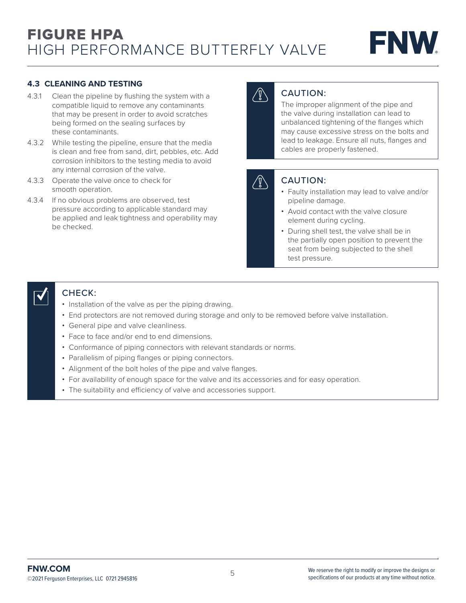

#### **4.3 CLEANING AND TESTING**

- 4.3.1 Clean the pipeline by flushing the system with a compatible liquid to remove any contaminants that may be present in order to avoid scratches being formed on the sealing surfaces by these contaminants.
- 4.3.2 While testing the pipeline, ensure that the media is clean and free from sand, dirt, pebbles, etc. Add corrosion inhibitors to the testing media to avoid any internal corrosion of the valve.
- 4.3.3 Operate the valve once to check for smooth operation.
- 4.3.4 If no obvious problems are observed, test pressure according to applicable standard may be applied and leak tightness and operability may be checked.

### CAUTION:

The improper alignment of the pipe and the valve during installation can lead to unbalanced tightening of the flanges which may cause excessive stress on the bolts and lead to leakage. Ensure all nuts, flanges and cables are properly fastened.

### CAUTION:

- Faulty installation may lead to valve and/or pipeline damage.
- Avoid contact with the valve closure element during cycling.
- During shell test, the valve shall be in the partially open position to prevent the seat from being subjected to the shell test pressure.

### CHECK:

- Installation of the valve as per the piping drawing.
- End protectors are not removed during storage and only to be removed before valve installation.
- General pipe and valve cleanliness.
- Face to face and/or end to end dimensions.
- Conformance of piping connectors with relevant standards or norms.
- Parallelism of piping flanges or piping connectors.
- Alignment of the bolt holes of the pipe and valve flanges.
- For availability of enough space for the valve and its accessories and for easy operation.
- The suitability and efficiency of valve and accessories support.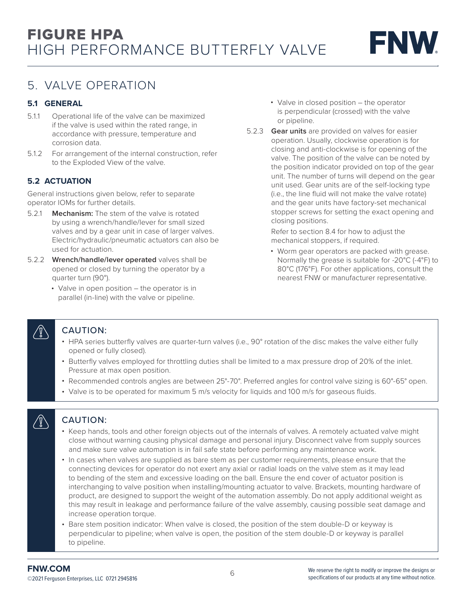### 5. VALVE OPERATION

### **5.1 GENERAL**

- 5.1.1 Operational life of the valve can be maximized if the valve is used within the rated range, in accordance with pressure, temperature and corrosion data.
- 5.1.2 For arrangement of the internal construction, refer to the Exploded View of the valve.

### **5.2 ACTUATION**

General instructions given below, refer to separate operator IOMs for further details.

- 5.2.1 **Mechanism:** The stem of the valve is rotated by using a wrench/handle/lever for small sized valves and by a gear unit in case of larger valves. Electric/hydraulic/pneumatic actuators can also be used for actuation.
- 5.2.2 **Wrench/handle/lever operated** valves shall be opened or closed by turning the operator by a quarter turn (90°).
	- Valve in open position the operator is in parallel (in-line) with the valve or pipeline.
- Valve in closed position the operator is perpendicular (crossed) with the valve or pipeline.
- 5.2.3 **Gear units** are provided on valves for easier operation. Usually, clockwise operation is for closing and anti-clockwise is for opening of the valve. The position of the valve can be noted by the position indicator provided on top of the gear unit. The number of turns will depend on the gear unit used. Gear units are of the self-locking type (i.e., the line fluid will not make the valve rotate) and the gear units have factory-set mechanical stopper screws for setting the exact opening and closing positions.

Refer to section 8.4 for how to adjust the mechanical stoppers, if required.

• Worm gear operators are packed with grease. Normally the grease is suitable for -20°C (-4°F) to 80°C (176°F). For other applications, consult the nearest FNW or manufacturer representative.

### CAUTION:

- HPA series butterfly valves are quarter-turn valves (i.e., 90° rotation of the disc makes the valve either fully opened or fully closed).
- Butterfly valves employed for throttling duties shall be limited to a max pressure drop of 20% of the inlet. Pressure at max open position.
- Recommended controls angles are between 25°-70°. Preferred angles for control valve sizing is 60°-65° open.
- Valve is to be operated for maximum 5 m/s velocity for liquids and 100 m/s for gaseous fluids.

# $\setminus \rbrack\!\rbrack$

### CAUTION:

- Keep hands, tools and other foreign objects out of the internals of valves. A remotely actuated valve might close without warning causing physical damage and personal injury. Disconnect valve from supply sources and make sure valve automation is in fail safe state before performing any maintenance work.
- In cases when valves are supplied as bare stem as per customer requirements, please ensure that the connecting devices for operator do not exert any axial or radial loads on the valve stem as it may lead to bending of the stem and excessive loading on the ball. Ensure the end cover of actuator position is interchanging to valve position when installing/mounting actuator to valve. Brackets, mounting hardware of product, are designed to support the weight of the automation assembly. Do not apply additional weight as this may result in leakage and performance failure of the valve assembly, causing possible seat damage and increase operation torque.
- Bare stem position indicator: When valve is closed, the position of the stem double-D or keyway is perpendicular to pipeline; when valve is open, the position of the stem double-D or keyway is parallel to pipeline.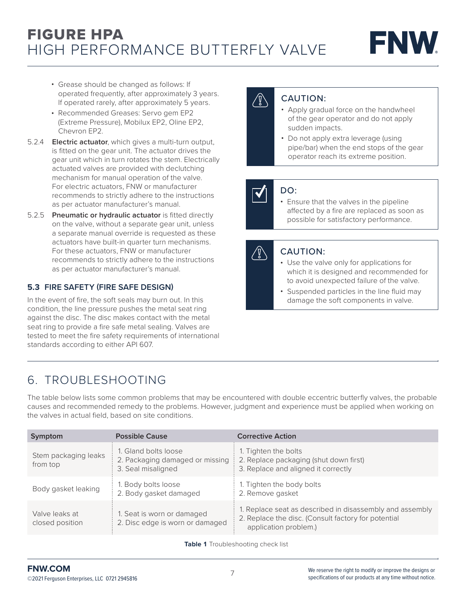

- Grease should be changed as follows: If operated frequently, after approximately 3 years. If operated rarely, after approximately 5 years.
- Recommended Greases: Servo gem EP2 (Extreme Pressure), Mobilux EP2, Oline EP2, Chevron EP2.
- 5.2.4 **Electric actuator**, which gives a multi-turn output, is fitted on the gear unit. The actuator drives the gear unit which in turn rotates the stem. Electrically actuated valves are provided with declutching mechanism for manual operation of the valve. For electric actuators, FNW or manufacturer recommends to strictly adhere to the instructions as per actuator manufacturer's manual.
- 5.2.5 **Pneumatic or hydraulic actuator** is fitted directly on the valve, without a separate gear unit, unless a separate manual override is requested as these actuators have built-in quarter turn mechanisms. For these actuators, FNW or manufacturer recommends to strictly adhere to the instructions as per actuator manufacturer's manual.

### **5.3 FIRE SAFETY (FIRE SAFE DESIGN)**

In the event of fire, the soft seals may burn out. In this condition, the line pressure pushes the metal seat ring against the disc. The disc makes contact with the metal seat ring to provide a fire safe metal sealing. Valves are tested to meet the fire safety requirements of international standards according to either API 607.

### CAUTION:

- Apply gradual force on the handwheel of the gear operator and do not apply sudden impacts.
- Do not apply extra leverage (using pipe/bar) when the end stops of the gear operator reach its extreme position.

### DO:

• Ensure that the valves in the pipeline affected by a fire are replaced as soon as possible for satisfactory performance.

### CAUTION:

- Use the valve only for applications for which it is designed and recommended for to avoid unexpected failure of the valve.
- Suspended particles in the line fluid may damage the soft components in valve.

## 6. TROUBLESHOOTING

The table below lists some common problems that may be encountered with double eccentric butterfly valves, the probable causes and recommended remedy to the problems. However, judgment and experience must be applied when working on the valves in actual field, based on site conditions.

| Symptom                           | <b>Possible Cause</b>                                                         | <b>Corrective Action</b>                                                                                                                 |  |
|-----------------------------------|-------------------------------------------------------------------------------|------------------------------------------------------------------------------------------------------------------------------------------|--|
| Stem packaging leaks<br>from top  | 1. Gland bolts loose<br>2. Packaging damaged or missing<br>3. Seal misaligned | 1. Tighten the bolts<br>2. Replace packaging (shut down first)<br>3. Replace and aligned it correctly                                    |  |
| Body gasket leaking               | 1. Body bolts loose<br>2. Body gasket damaged                                 | 1. Tighten the body bolts<br>2. Remove gasket                                                                                            |  |
| Valve leaks at<br>closed position | 1. Seat is worn or damaged<br>2. Disc edge is worn or damaged                 | 1. Replace seat as described in disassembly and assembly<br>2. Replace the disc. (Consult factory for potential<br>application problem.) |  |

**Table 1** Troubleshooting check list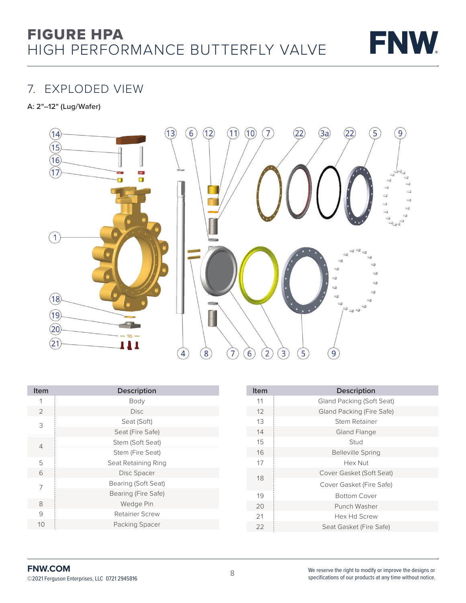

### 7. EXPLODED VIEW

**A: 2"–12" (Lug/Wafer)**



| <b>Item</b>    | <b>Description</b>  |
|----------------|---------------------|
| 1              | Body                |
| 2              | <b>Disc</b>         |
| 3              | Seat (Soft)         |
|                | Seat (Fire Safe)    |
| $\overline{4}$ | Stem (Soft Seat)    |
|                | Stem (Fire Seat)    |
| 5              | Seat Retaining Ring |
| 6              | Disc Spacer         |
| 7              | Bearing (Soft Seat) |
|                | Bearing (Fire Safe) |
| 8              | Wedge Pin           |
| 9              | Retainer Screw      |
| 10             | Packing Spacer      |

| Item | <b>Description</b>        |
|------|---------------------------|
| 11   | Gland Packing (Soft Seat) |
| 12   | Gland Packing (Fire Safe) |
| 13   | Stem Retainer             |
| 14   | Gland Flange              |
| 15   | Stud                      |
| 16   | <b>Belleville Spring</b>  |
| 17   | Hex Nut                   |
| 18   | Cover Gasket (Soft Seat)  |
|      | Cover Gasket (Fire Safe)  |
| 19   | <b>Bottom Cover</b>       |
| 20   | Punch Washer              |
| 21   | Hex Hd Screw              |
| 22   | Seat Gasket (Fire Safe)   |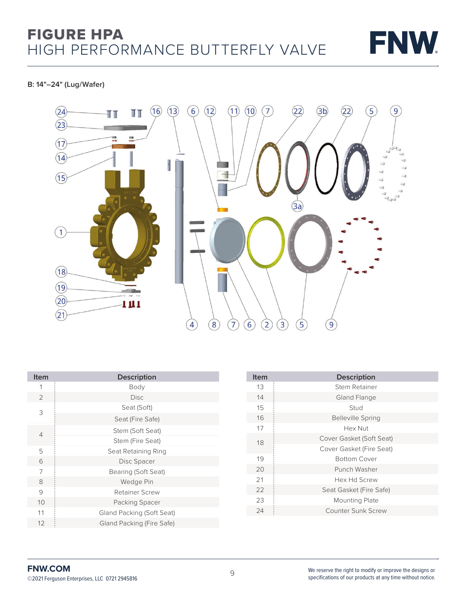

#### **B: 14"–24" (Lug/Wafer)**



| <b>Item</b>    | <b>Description</b>        |
|----------------|---------------------------|
| 1              | Body                      |
| $\overline{2}$ | Disc.                     |
| 3              | Seat (Soft)               |
|                | Seat (Fire Safe)          |
| 4              | Stem (Soft Seat)          |
|                | Stem (Fire Seat)          |
| 5              | Seat Retaining Ring       |
| 6              | Disc Spacer               |
| 7              | Bearing (Soft Seat)       |
| 8              | Wedge Pin                 |
| 9              | <b>Retainer Screw</b>     |
| 10             | Packing Spacer            |
| 11             | Gland Packing (Soft Seat) |
| 12             | Gland Packing (Fire Safe) |
|                |                           |

| <b>Item</b> | <b>Description</b>       |
|-------------|--------------------------|
| 13          | Stem Retainer            |
| 14          | Gland Flange             |
| 15          | Stud                     |
| 16          | <b>Belleville Spring</b> |
| 17          | Hex Nut                  |
| 18          | Cover Gasket (Soft Seat) |
|             | Cover Gasket (Fire Seat) |
| 19          | <b>Bottom Cover</b>      |
| 20          | Punch Washer             |
| 21          | Hex Hd Screw             |
| 22          | Seat Gasket (Fire Safe)  |
| 23          | <b>Mounting Plate</b>    |
| 24          | Counter Sunk Screw       |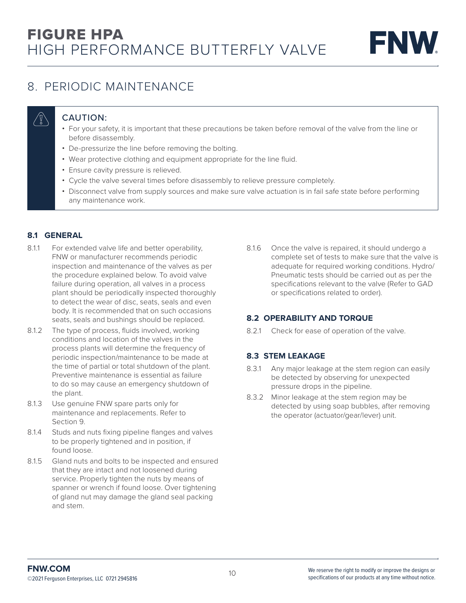

## 8. PERIODIC MAINTENANCE

### CAUTION:

- For your safety, it is important that these precautions be taken before removal of the valve from the line or before disassembly.
- De-pressurize the line before removing the bolting.
- Wear protective clothing and equipment appropriate for the line fluid.
- Ensure cavity pressure is relieved.
- Cycle the valve several times before disassembly to relieve pressure completely.
- Disconnect valve from supply sources and make sure valve actuation is in fail safe state before performing any maintenance work.

### **8.1 GENERAL**

- 8.1.1 For extended valve life and better operability, FNW or manufacturer recommends periodic inspection and maintenance of the valves as per the procedure explained below. To avoid valve failure during operation, all valves in a process plant should be periodically inspected thoroughly to detect the wear of disc, seats, seals and even body. It is recommended that on such occasions seats, seals and bushings should be replaced.
- 8.1.2 The type of process, fluids involved, working conditions and location of the valves in the process plants will determine the frequency of periodic inspection/maintenance to be made at the time of partial or total shutdown of the plant. Preventive maintenance is essential as failure to do so may cause an emergency shutdown of the plant.
- 8.1.3 Use genuine FNW spare parts only for maintenance and replacements. Refer to Section 9.
- 8.1.4 Studs and nuts fixing pipeline flanges and valves to be properly tightened and in position, if found loose.
- 8.1.5 Gland nuts and bolts to be inspected and ensured that they are intact and not loosened during service. Properly tighten the nuts by means of spanner or wrench if found loose. Over tightening of gland nut may damage the gland seal packing and stem.

8.1.6 Once the valve is repaired, it should undergo a complete set of tests to make sure that the valve is adequate for required working conditions. Hydro/ Pneumatic tests should be carried out as per the specifications relevant to the valve (Refer to GAD or specifications related to order).

### **8.2 OPERABILITY AND TORQUE**

8.2.1 Check for ease of operation of the valve.

### **8.3 STEM LEAKAGE**

- 8.3.1 Any major leakage at the stem region can easily be detected by observing for unexpected pressure drops in the pipeline.
- 8.3.2 Minor leakage at the stem region may be detected by using soap bubbles, after removing the operator (actuator/gear/lever) unit.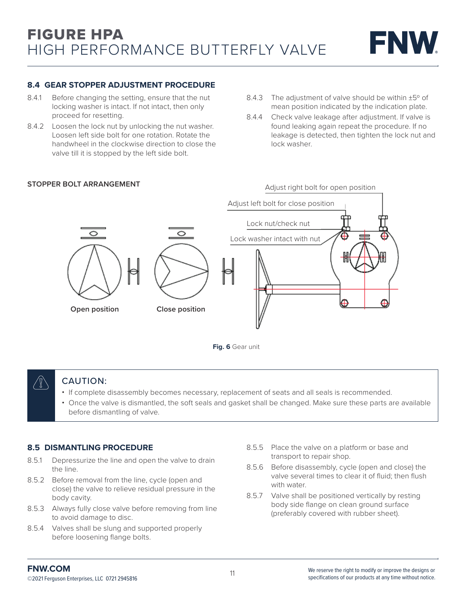#### **8.4 GEAR STOPPER ADJUSTMENT PROCEDURE**

- 8.4.1 Before changing the setting, ensure that the nut locking washer is intact. If not intact, then only proceed for resetting.
- 8.4.2 Loosen the lock nut by unlocking the nut washer. Loosen left side bolt for one rotation. Rotate the handwheel in the clockwise direction to close the valve till it is stopped by the left side bolt.

#### **STOPPER BOLT ARRANGEMENT**

- 8.4.3 The adjustment of valve should be within  $\pm 5^{\circ}$  of mean position indicated by the indication plate.
- 8.4.4 Check valve leakage after adjustment. If valve is found leaking again repeat the procedure. If no leakage is detected, then tighten the lock nut and lock washer.



### CAUTION:

• If complete disassembly becomes necessary, replacement of seats and all seals is recommended.

**Fig. 6** Gear unit

• Once the valve is dismantled, the soft seals and gasket shall be changed. Make sure these parts are available before dismantling of valve.

#### **8.5 DISMANTLING PROCEDURE**

- 8.5.1 Depressurize the line and open the valve to drain the line.
- 8.5.2 Before removal from the line, cycle (open and close) the valve to relieve residual pressure in the body cavity.
- 8.5.3 Always fully close valve before removing from line to avoid damage to disc.
- 8.5.4 Valves shall be slung and supported properly before loosening flange bolts.
- 8.5.5 Place the valve on a platform or base and transport to repair shop.
- 8.5.6 Before disassembly, cycle (open and close) the valve several times to clear it of fluid; then flush with water.
- 8.5.7 Valve shall be positioned vertically by resting body side flange on clean ground surface (preferably covered with rubber sheet).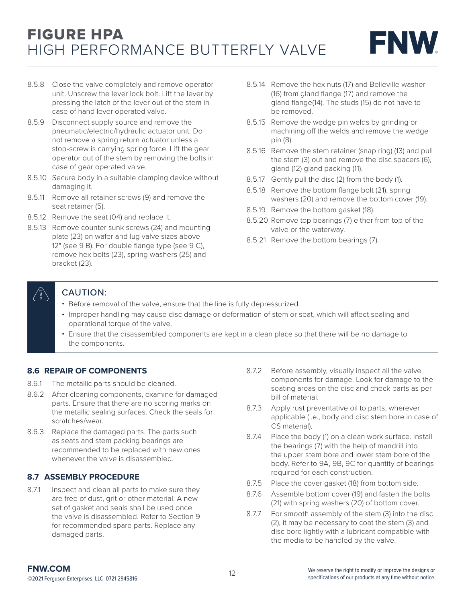

- 8.5.8 Close the valve completely and remove operator unit. Unscrew the lever lock bolt. Lift the lever by pressing the latch of the lever out of the stem in case of hand lever operated valve.
- 8.5.9 Disconnect supply source and remove the pneumatic/electric/hydraulic actuator unit. Do not remove a spring return actuator unless a stop-screw is carrying spring force. Lift the gear operator out of the stem by removing the bolts in case of gear operated valve.
- 8.5.10 Secure body in a suitable clamping device without damaging it.
- 8.5.11 Remove all retainer screws (9) and remove the seat retainer (5).
- 8.5.12 Remove the seat (04) and replace it.
- 8.5.13 Remove counter sunk screws (24) and mounting plate (23) on wafer and lug valve sizes above 12" (see 9 B). For double flange type (see 9 C), remove hex bolts (23), spring washers (25) and bracket (23).
- 8.5.14 Remove the hex nuts (17) and Belleville washer (16) from gland flange (17) and remove the gland flange(14). The studs (15) do not have to be removed.
- 8.5.15 Remove the wedge pin welds by grinding or machining off the welds and remove the wedge pin (8).
- 8.5.16 Remove the stem retainer (snap ring) (13) and pull the stem (3) out and remove the disc spacers (6), gland (12) gland packing (11).
- 8.5.17 Gently pull the disc (2) from the body (1).
- 8.5.18 Remove the bottom flange bolt (21), spring washers (20) and remove the bottom cover (19).
- 8.5.19 Remove the bottom gasket (18).
- 8.5.20 Remove top bearings (7) either from top of the valve or the waterway.
- 8.5.21 Remove the bottom bearings (7).



### CAUTION:

- Before removal of the valve, ensure that the line is fully depressurized.
- Improper handling may cause disc damage or deformation of stem or seat, which will affect sealing and operational torque of the valve.
- Ensure that the disassembled components are kept in a clean place so that there will be no damage to the components.

### **8.6 REPAIR OF COMPONENTS**

- 8.6.1 The metallic parts should be cleaned.
- 8.6.2 After cleaning components, examine for damaged parts. Ensure that there are no scoring marks on the metallic sealing surfaces. Check the seals for scratches/wear.
- 8.6.3 Replace the damaged parts. The parts such as seats and stem packing bearings are recommended to be replaced with new ones whenever the valve is disassembled.

### **8.7 ASSEMBLY PROCEDURE**

8.7.1 Inspect and clean all parts to make sure they are free of dust, grit or other material. A new set of gasket and seals shall be used once the valve is disassembled. Refer to Section 9 for recommended spare parts. Replace any damaged parts.

- 8.7.2 Before assembly, visually inspect all the valve components for damage. Look for damage to the seating areas on the disc and check parts as per bill of material.
- 8.7.3 Apply rust preventative oil to parts, wherever applicable (i.e., body and disc stem bore in case of CS material).
- 8.7.4 Place the body (1) on a clean work surface. Install the bearings (7) with the help of mandrill into the upper stem bore and lower stem bore of the body. Refer to 9A, 9B, 9C for quantity of bearings required for each construction.
- 8.7.5 Place the cover gasket (18) from bottom side.
- 8.7.6 Assemble bottom cover (19) and fasten the bolts (21) with spring washers (20) of bottom cover.
- 8.7.7 For smooth assembly of the stem (3) into the disc (2), it may be necessary to coat the stem (3) and disc bore lightly with a lubricant compatible with the media to be handled by the valve.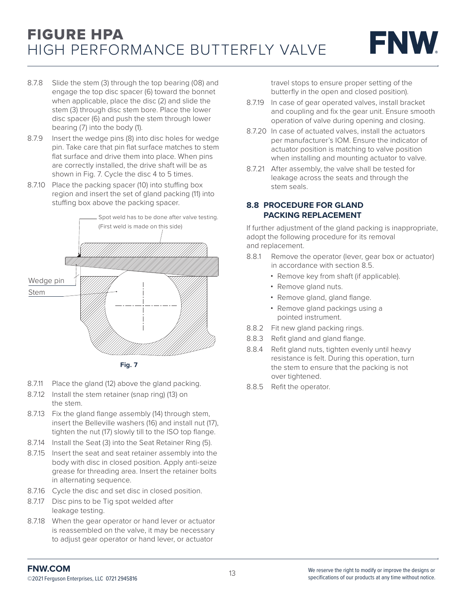

- 8.7.8 Slide the stem (3) through the top bearing (08) and engage the top disc spacer (6) toward the bonnet when applicable, place the disc (2) and slide the stem (3) through disc stem bore. Place the lower disc spacer (6) and push the stem through lower bearing (7) into the body (1).
- 8.7.9 Insert the wedge pins (8) into disc holes for wedge pin. Take care that pin flat surface matches to stem flat surface and drive them into place. When pins are correctly installed, the drive shaft will be as shown in Fig. 7. Cycle the disc 4 to 5 times.
- 8.7.10 Place the packing spacer (10) into stuffing box region and insert the set of gland packing (11) into stuffing box above the packing spacer.



- 8.7.11 Place the gland (12) above the gland packing.
- 8.7.12 Install the stem retainer (snap ring) (13) on the stem.
- 8.7.13 Fix the gland flange assembly (14) through stem, insert the Belleville washers (16) and install nut (17), tighten the nut (17) slowly till to the ISO top flange.
- 8.7.14 Install the Seat (3) into the Seat Retainer Ring (5).
- 8.7.15 Insert the seat and seat retainer assembly into the body with disc in closed position. Apply anti-seize grease for threading area. Insert the retainer bolts in alternating sequence.
- 8.7.16 Cycle the disc and set disc in closed position.
- 8.7.17 Disc pins to be Tig spot welded after leakage testing.
- 8.7.18 When the gear operator or hand lever or actuator is reassembled on the valve, it may be necessary to adjust gear operator or hand lever, or actuator

travel stops to ensure proper setting of the butterfly in the open and closed position).

- 8.7.19 In case of gear operated valves, install bracket and coupling and fix the gear unit. Ensure smooth operation of valve during opening and closing.
- 8.7.20 In case of actuated valves, install the actuators per manufacturer's IOM. Ensure the indicator of actuator position is matching to valve position when installing and mounting actuator to valve.
- 8.7.21 After assembly, the valve shall be tested for leakage across the seats and through the stem seals.

### **8.8 PROCEDURE FOR GLAND PACKING REPLACEMENT**

If further adjustment of the gland packing is inappropriate, adopt the following procedure for its removal and replacement.

- 8.8.1 Remove the operator (lever, gear box or actuator) in accordance with section 8.5.
	- Remove key from shaft (if applicable).
	- Remove gland nuts.
	- Remove gland, gland flange.
	- Remove gland packings using a pointed instrument.
- 8.8.2 Fit new gland packing rings.
- 8.8.3 Refit gland and gland flange.
- 8.8.4 Refit gland nuts, tighten evenly until heavy resistance is felt. During this operation, turn the stem to ensure that the packing is not over tightened.
- 8.8.5 Refit the operator.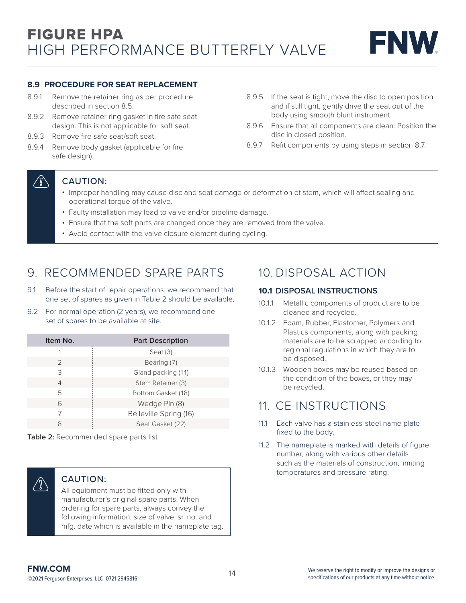#### **8.9 PROCEDURE FOR SEAT REPLACEMENT**

- 8.9.1 Remove the retainer ring as per procedure described in section 8.5.
- 8.9.2 Remove retainer ring gasket in fire safe seat design. This is not applicable for soft seat.
- 8.9.3 Remove fire safe seat/soft seat.
- 8.9.4 Remove body gasket (applicable for fire safe design).
- 8.9.5 If the seat is tight, move the disc to open position and if still tight, gently drive the seat out of the body using smooth blunt instrument.
- 8.9.6 Ensure that all components are clean. Position the disc in closed position.
- 8.9.7 Refit components by using steps in section 8.7.

### T)

### CAUTION:

- Improper handling may cause disc and seat damage or deformation of stem, which will affect sealing and operational torque of the valve.
- Faulty installation may lead to valve and/or pipeline damage.
- Ensure that the soft parts are changed once they are removed from the valve.
- Avoid contact with the valve closure element during cycling.

### 9. RECOMMENDED SPARE PARTS

- 9.1 Before the start of repair operations, we recommend that one set of spares as given in Table 2 should be available.
- 9.2 For normal operation (2 years), we recommend one set of spares to be available at site.

| Item No. |                | <b>Part Description</b> |  |
|----------|----------------|-------------------------|--|
|          |                | Seat $(3)$              |  |
|          | 2              | Bearing (7)             |  |
|          | 3              | Gland packing (11)      |  |
|          | $\overline{4}$ | Stem Retainer (3)       |  |
|          | 5              | Bottom Gasket (18)      |  |
|          | 6              | Wedge Pin (8)           |  |
|          |                | Belleville Spring (16)  |  |
|          | 8              | Seat Gasket (22)        |  |

**Table 2:** Recommended spare parts list



### CAUTION:

All equipment must be fitted only with manufacturer's original spare parts. When ordering for spare parts, always convey the following information: size of valve, sr. no. and mfg. date which is available in the nameplate tag.

### 10. DISPOSAL ACTION

### **10.1 DISPOSAL INSTRUCTIONS**

- 10.1.1 Metallic components of product are to be cleaned and recycled.
- 10.1.2 Foam, Rubber, Elastomer, Polymers and Plastics components, along with packing materials are to be scrapped according to regional regulations in which they are to be disposed.
- 10.1.3 Wooden boxes may be reused based on the condition of the boxes, or they may be recycled.

### 11. CE INSTRUCTIONS

- 11.1 Each valve has a stainless-steel name plate fixed to the body.
- 11.2 The nameplate is marked with details of figure number, along with various other details such as the materials of construction, limiting temperatures and pressure rating.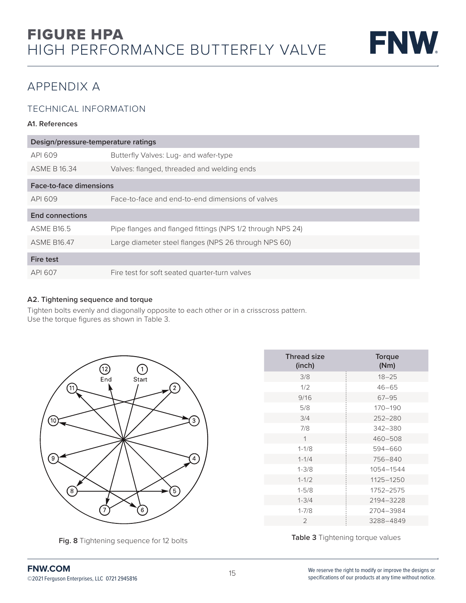

## APPENDIX A

### TECHNICAL INFORMATION

#### **A1. References**

| Design/pressure-temperature ratings |                                                            |  |  |
|-------------------------------------|------------------------------------------------------------|--|--|
| API 609                             | Butterfly Valves: Lug- and wafer-type                      |  |  |
| <b>ASME B 16.34</b>                 | Valves: flanged, threaded and welding ends                 |  |  |
| Face-to-face dimensions             |                                                            |  |  |
| API 609                             | Face-to-face and end-to-end dimensions of valves           |  |  |
| <b>End connections</b>              |                                                            |  |  |
| <b>ASMF B165</b>                    | Pipe flanges and flanged fittings (NPS 1/2 through NPS 24) |  |  |
| <b>ASME B16.47</b>                  | Large diameter steel flanges (NPS 26 through NPS 60)       |  |  |
| <b>Fire test</b>                    |                                                            |  |  |
| API 607                             | Fire test for soft seated quarter-turn valves              |  |  |

#### **A2. Tightening sequence and torque**

Tighten bolts evenly and diagonally opposite to each other or in a crisscross pattern. Use the torque figures as shown in Table 3.



**Fig. 8** Tightening sequence for 12 bolts

| <b>Thread size</b><br>(inch) | Torque<br>(Nm) |
|------------------------------|----------------|
| 3/8                          | $18 - 25$      |
| 1/2                          | $46 - 65$      |
| 9/16                         | $67 - 95$      |
| 5/8                          | $170 - 190$    |
| 3/4                          | 252-280        |
| 7/8                          | 342-380        |
| 1                            | 460-508        |
| $1 - 1/8$                    | 594-660        |
| $1 - 1/4$                    | 756-840        |
| $1 - 3/8$                    | 1054-1544      |
| $1 - 1/2$                    | 1125-1250      |
| $1 - 5/8$                    | 1752-2575      |
| $1 - 3/4$                    | 2194-3228      |
| $1 - 7/8$                    | 2704-3984      |
| $\overline{2}$               | 3288-4849      |

**Table 3** Tightening torque values